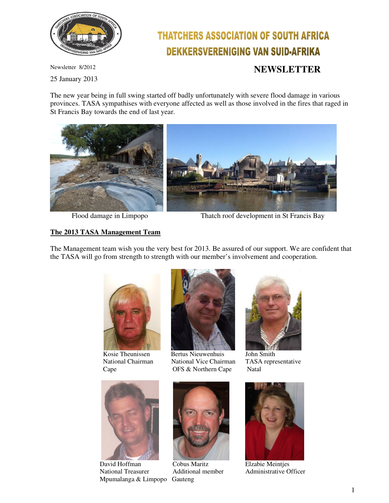

# **THATCHERS ASSOCIATION OF SOUTH AFRICA DEKKERSVERENIGING VAN SUID-AFRIKA**

Newsletter 8/2012 **NEWSLETTER** 

25 January 2013

The new year being in full swing started off badly unfortunately with severe flood damage in various provinces. TASA sympathises with everyone affected as well as those involved in the fires that raged in St Francis Bay towards the end of last year.





Flood damage in Limpopo Thatch roof development in St Francis Bay

## **The 2013 TASA Management Team**

The Management team wish you the very best for 2013. Be assured of our support. We are confident that the TASA will go from strength to strength with our member's involvement and cooperation.





 David Hoffman Cobus Maritz Elzabie Meintjes National Treasurer Additional member Administrative Officer Mpumalanga & Limpopo Gauteng



Kosie Theunissen Bertus Nieuwenhuis John Smith National Chairman National Vice Chairman TASA representative Cape **OFS & Northern Cape** Natal





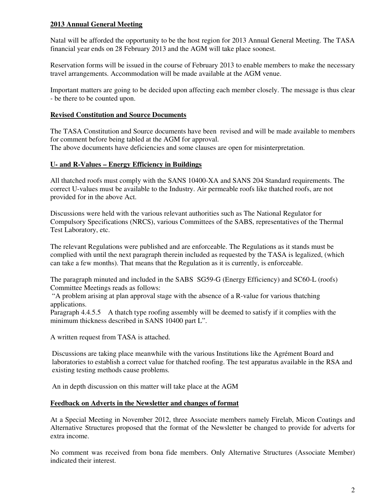## **2013 Annual General Meeting**

Natal will be afforded the opportunity to be the host region for 2013 Annual General Meeting. The TASA financial year ends on 28 February 2013 and the AGM will take place soonest.

Reservation forms will be issued in the course of February 2013 to enable members to make the necessary travel arrangements. Accommodation will be made available at the AGM venue.

Important matters are going to be decided upon affecting each member closely. The message is thus clear - be there to be counted upon.

### **Revised Constitution and Source Documents**

The TASA Constitution and Source documents have been revised and will be made available to members for comment before being tabled at the AGM for approval. The above documents have deficiencies and some clauses are open for misinterpretation.

### **U- and R-Values – Energy Efficiency in Buildings**

All thatched roofs must comply with the SANS 10400-XA and SANS 204 Standard requirements. The correct U-values must be available to the Industry. Air permeable roofs like thatched roofs, are not provided for in the above Act.

Discussions were held with the various relevant authorities such as The National Regulator for Compulsory Specifications (NRCS), various Committees of the SABS, representatives of the Thermal Test Laboratory, etc.

The relevant Regulations were published and are enforceable. The Regulations as it stands must be complied with until the next paragraph therein included as requested by the TASA is legalized, (which can take a few months). That means that the Regulation as it is currently, is enforceable.

The paragraph minuted and included in the SABS SG59-G (Energy Efficiency) and SC60-L (roofs) Committee Meetings reads as follows:

 "A problem arising at plan approval stage with the absence of a R-value for various thatching applications.

Paragraph 4.4.5.5 A thatch type roofing assembly will be deemed to satisfy if it complies with the minimum thickness described in SANS 10400 part L".

A written request from TASA is attached.

Discussions are taking place meanwhile with the various Institutions like the Agrément Board and laboratories to establish a correct value for thatched roofing. The test apparatus available in the RSA and existing testing methods cause problems.

An in depth discussion on this matter will take place at the AGM

#### **Feedback on Adverts in the Newsletter and changes of format**

At a Special Meeting in November 2012, three Associate members namely Firelab, Micon Coatings and Alternative Structures proposed that the format of the Newsletter be changed to provide for adverts for extra income.

No comment was received from bona fide members. Only Alternative Structures (Associate Member) indicated their interest.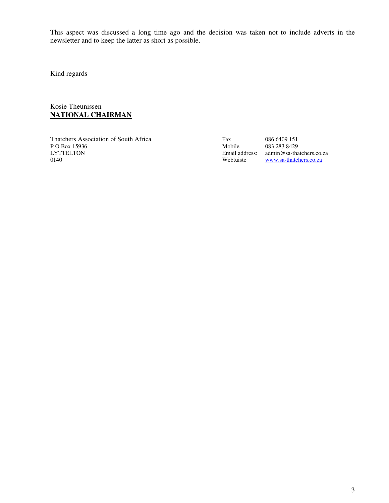This aspect was discussed a long time ago and the decision was taken not to include adverts in the newsletter and to keep the latter as short as possible.

Kind regards

Kosie Theunissen **NATIONAL CHAIRMAN**

Thatchers Association of South Africa Fax 086 6409 151 P O Box 15936<br>LYTTELTON LYTTELTON Email address: admin@sa-thatchers.co.za<br>0140 Webtuiste www.sa-thatchers.co.za

www.sa-thatchers.co.za